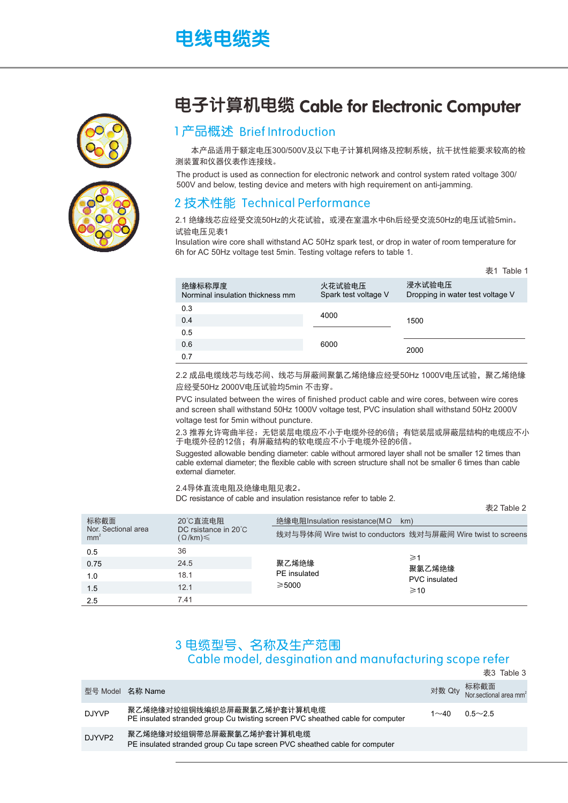# 电线电缆类





### 电子计算机电缆 Cable for Electronic Computer

#### 1产品概述 Brief Introduction

本产品适用于额定电压300/500V及以下电子计算机网络及控制系统,抗干扰性能要求较高的检 测装置和仪器仪表作连接线。

The product is used as connection for electronic network and control system rated voltage 300/ 500V and below, testing device and meters with high requirement on anti-jamming.

#### 2 技术性能 Technical Performance

2.1 绝缘线芯应经受交流50Hz的火花试验,或浸在室温水中6h后经受交流50Hz的电压试验5min。 试验电压见表1

Insulation wire core shall withstand AC 50Hz spark test, or drop in water of room temperature for 6h for AC 50Hz voltage test 5min. Testing voltage refers to table 1.

|                                            |                                | 表1 Table 1                                 |  |
|--------------------------------------------|--------------------------------|--------------------------------------------|--|
| 绝缘标称厚度<br>Norminal insulation thickness mm | 火花试验电压<br>Spark test voltage V | 浸水试验电压<br>Dropping in water test voltage V |  |
| 0.3                                        |                                |                                            |  |
| 0.4                                        | 4000                           | 1500                                       |  |
| 0.5                                        |                                |                                            |  |
| 0.6                                        | 6000                           | 2000                                       |  |
| 0.7                                        |                                |                                            |  |

2.2 成品电缆线芯与线芯间、线芯与屏蔽间聚氯乙烯绝缘应经受50Hz 1000V电压试验,聚乙烯绝缘 应经受50Hz 2000V电压试验均5min 不击穿。

PVC insulated between the wires of finished product cable and wire cores, between wire cores and screen shall withstand 50Hz 1000V voltage test, PVC insulation shall withstand 50Hz 2000V voltage test for 5min without puncture.

2.3 推荐允许弯曲半径:无铠装层电缆应不小于电缆外径的6倍,有铠装层或屏蔽层结构的电缆应不小 于电缆外径的12倍;有屏蔽结构的软电缆应不小于电缆外径的6倍。

Suggested allowable bending diameter: cable without armored layer shall not be smaller 12 times than cable external diameter; the flexible cable with screen structure shall not be smaller 6 times than cable external diameter.

 $\pm$ 2 Table 2

2.4导体直流电阻及绝缘电阻见表2。

DC resistance of cable and insulation resistance refer to table 2.

| 标称截面<br>Nor. Sectional area<br>mm <sup>2</sup> | 20°C直流电阻<br>DC rsistance in 20°C<br>$\Omega$ /km) $\leq$ | 绝缘电阻Insulation resistance(MΩ<br>线对与导体间 Wire twist to conductors 线对与屏蔽间 Wire twist to screens | km)                                               |
|------------------------------------------------|----------------------------------------------------------|----------------------------------------------------------------------------------------------|---------------------------------------------------|
| 0.5<br>0.75<br>1.0<br>1.5<br>2.5               | 36<br>24.5<br>18.1<br>12.1<br>7.41                       | 聚乙烯绝缘<br>PE insulated<br>$\geq 5000$                                                         | ≥1<br>聚氯乙烯绝缘<br><b>PVC</b> insulated<br>$\geq 10$ |

### 3 电缆型号、名称及生产范围 Cable model, desgination and manufacturing scope refer

|              |                                                                                                              |          | 表3 Table 3                                        |
|--------------|--------------------------------------------------------------------------------------------------------------|----------|---------------------------------------------------|
|              | 型号 Model 名称 Name                                                                                             |          | 对数 Qty 标称截面<br>Nor.sectional area mm <sup>2</sup> |
| <b>DJYVP</b> | 聚乙烯绝缘对绞组铜线编织总屏蔽聚氯乙烯护套计算机电缆<br>PE insulated stranded group Cu twisting screen PVC sheathed cable for computer | $1 - 40$ | $0.5 \sim 2.5$                                    |
| DJYVP2       | 聚乙烯绝缘对绞组铜带总屏蔽聚氯乙烯护套计算机电缆<br>PE insulated stranded group Cu tape screen PVC sheathed cable for computer       |          |                                                   |